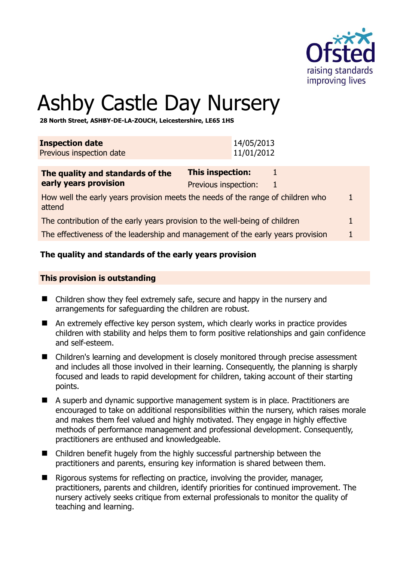

# Ashby Castle Day Nursery

**28 North Street, ASHBY-DE-LA-ZOUCH, Leicestershire, LE65 1HS** 

| <b>Inspection date</b>   | 14/05/2013 |
|--------------------------|------------|
| Previous inspection date | 11/01/2012 |

| The quality and standards of the                                                | This inspection:     |  |
|---------------------------------------------------------------------------------|----------------------|--|
| early years provision                                                           | Previous inspection: |  |
| How well the early years provision meets the needs of the range of children who |                      |  |

attend The contribution of the early years provision to the well-being of children 1

The effectiveness of the leadership and management of the early years provision 1

# **The quality and standards of the early years provision**

#### **This provision is outstanding**

- Children show they feel extremely safe, secure and happy in the nursery and arrangements for safeguarding the children are robust.
- An extremely effective key person system, which clearly works in practice provides children with stability and helps them to form positive relationships and gain confidence and self-esteem.
- Children's learning and development is closely monitored through precise assessment and includes all those involved in their learning. Consequently, the planning is sharply focused and leads to rapid development for children, taking account of their starting points.
- A superb and dynamic supportive management system is in place. Practitioners are encouraged to take on additional responsibilities within the nursery, which raises morale and makes them feel valued and highly motivated. They engage in highly effective methods of performance management and professional development. Consequently, practitioners are enthused and knowledgeable.
- Children benefit hugely from the highly successful partnership between the practitioners and parents, ensuring key information is shared between them.
- $\blacksquare$  Rigorous systems for reflecting on practice, involving the provider, manager, practitioners, parents and children, identify priorities for continued improvement. The nursery actively seeks critique from external professionals to monitor the quality of teaching and learning.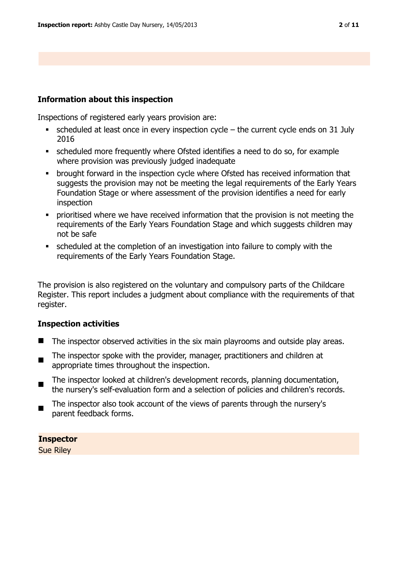# **Information about this inspection**

Inspections of registered early years provision are:

- scheduled at least once in every inspection cycle the current cycle ends on 31 July 2016
- scheduled more frequently where Ofsted identifies a need to do so, for example where provision was previously judged inadequate
- brought forward in the inspection cycle where Ofsted has received information that suggests the provision may not be meeting the legal requirements of the Early Years Foundation Stage or where assessment of the provision identifies a need for early inspection
- prioritised where we have received information that the provision is not meeting the requirements of the Early Years Foundation Stage and which suggests children may not be safe
- scheduled at the completion of an investigation into failure to comply with the requirements of the Early Years Foundation Stage.

The provision is also registered on the voluntary and compulsory parts of the Childcare Register. This report includes a judgment about compliance with the requirements of that register.

# **Inspection activities**

- The inspector observed activities in the six main playrooms and outside play areas.
- $\blacksquare$ The inspector spoke with the provider, manager, practitioners and children at appropriate times throughout the inspection.
- $\blacksquare$ The inspector looked at children's development records, planning documentation, the nursery's self-evaluation form and a selection of policies and children's records.
- The inspector also took account of the views of parents through the nursery's parent feedback forms.

# **Inspector**

Sue Riley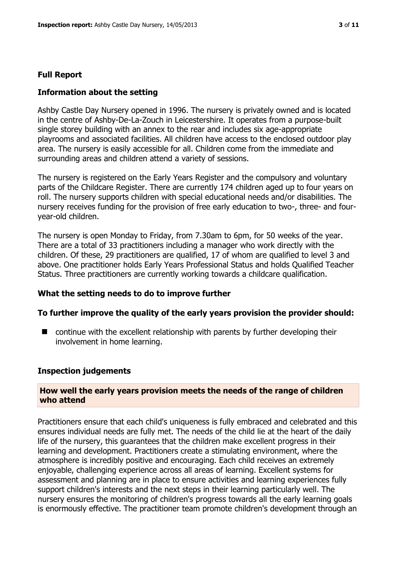# **Full Report**

#### **Information about the setting**

Ashby Castle Day Nursery opened in 1996. The nursery is privately owned and is located in the centre of Ashby-De-La-Zouch in Leicestershire. It operates from a purpose-built single storey building with an annex to the rear and includes six age-appropriate playrooms and associated facilities. All children have access to the enclosed outdoor play area. The nursery is easily accessible for all. Children come from the immediate and surrounding areas and children attend a variety of sessions.

The nursery is registered on the Early Years Register and the compulsory and voluntary parts of the Childcare Register. There are currently 174 children aged up to four years on roll. The nursery supports children with special educational needs and/or disabilities. The nursery receives funding for the provision of free early education to two-, three- and fouryear-old children.

The nursery is open Monday to Friday, from 7.30am to 6pm, for 50 weeks of the year. There are a total of 33 practitioners including a manager who work directly with the children. Of these, 29 practitioners are qualified, 17 of whom are qualified to level 3 and above. One practitioner holds Early Years Professional Status and holds Qualified Teacher Status. Three practitioners are currently working towards a childcare qualification.

#### **What the setting needs to do to improve further**

#### **To further improve the quality of the early years provision the provider should:**

■ continue with the excellent relationship with parents by further developing their involvement in home learning.

#### **Inspection judgements**

#### **How well the early years provision meets the needs of the range of children who attend**

Practitioners ensure that each child's uniqueness is fully embraced and celebrated and this ensures individual needs are fully met. The needs of the child lie at the heart of the daily life of the nursery, this guarantees that the children make excellent progress in their learning and development. Practitioners create a stimulating environment, where the atmosphere is incredibly positive and encouraging. Each child receives an extremely enjoyable, challenging experience across all areas of learning. Excellent systems for assessment and planning are in place to ensure activities and learning experiences fully support children's interests and the next steps in their learning particularly well. The nursery ensures the monitoring of children's progress towards all the early learning goals is enormously effective. The practitioner team promote children's development through an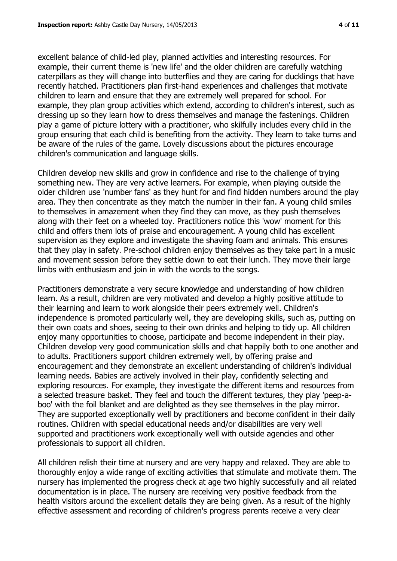excellent balance of child-led play, planned activities and interesting resources. For example, their current theme is 'new life' and the older children are carefully watching caterpillars as they will change into butterflies and they are caring for ducklings that have recently hatched. Practitioners plan first-hand experiences and challenges that motivate children to learn and ensure that they are extremely well prepared for school. For example, they plan group activities which extend, according to children's interest, such as dressing up so they learn how to dress themselves and manage the fastenings. Children play a game of picture lottery with a practitioner, who skilfully includes every child in the group ensuring that each child is benefiting from the activity. They learn to take turns and be aware of the rules of the game. Lovely discussions about the pictures encourage children's communication and language skills.

Children develop new skills and grow in confidence and rise to the challenge of trying something new. They are very active learners. For example, when playing outside the older children use 'number fans' as they hunt for and find hidden numbers around the play area. They then concentrate as they match the number in their fan. A young child smiles to themselves in amazement when they find they can move, as they push themselves along with their feet on a wheeled toy. Practitioners notice this 'wow' moment for this child and offers them lots of praise and encouragement. A young child has excellent supervision as they explore and investigate the shaving foam and animals. This ensures that they play in safety. Pre-school children enjoy themselves as they take part in a music and movement session before they settle down to eat their lunch. They move their large limbs with enthusiasm and join in with the words to the songs.

Practitioners demonstrate a very secure knowledge and understanding of how children learn. As a result, children are very motivated and develop a highly positive attitude to their learning and learn to work alongside their peers extremely well. Children's independence is promoted particularly well, they are developing skills, such as, putting on their own coats and shoes, seeing to their own drinks and helping to tidy up. All children enjoy many opportunities to choose, participate and become independent in their play. Children develop very good communication skills and chat happily both to one another and to adults. Practitioners support children extremely well, by offering praise and encouragement and they demonstrate an excellent understanding of children's individual learning needs. Babies are actively involved in their play, confidently selecting and exploring resources. For example, they investigate the different items and resources from a selected treasure basket. They feel and touch the different textures, they play 'peep-aboo' with the foil blanket and are delighted as they see themselves in the play mirror. They are supported exceptionally well by practitioners and become confident in their daily routines. Children with special educational needs and/or disabilities are very well supported and practitioners work exceptionally well with outside agencies and other professionals to support all children.

All children relish their time at nursery and are very happy and relaxed. They are able to thoroughly enjoy a wide range of exciting activities that stimulate and motivate them. The nursery has implemented the progress check at age two highly successfully and all related documentation is in place. The nursery are receiving very positive feedback from the health visitors around the excellent details they are being given. As a result of the highly effective assessment and recording of children's progress parents receive a very clear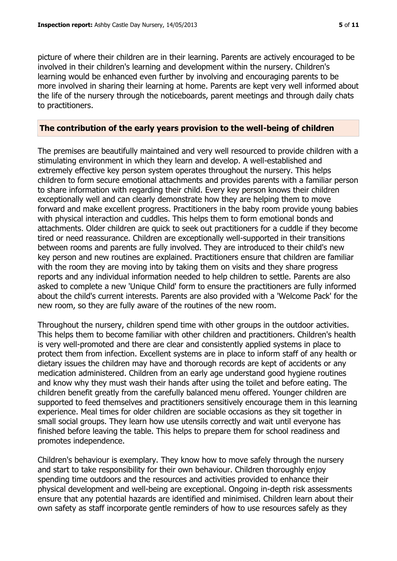picture of where their children are in their learning. Parents are actively encouraged to be involved in their children's learning and development within the nursery. Children's learning would be enhanced even further by involving and encouraging parents to be more involved in sharing their learning at home. Parents are kept very well informed about the life of the nursery through the noticeboards, parent meetings and through daily chats to practitioners.

#### **The contribution of the early years provision to the well-being of children**

The premises are beautifully maintained and very well resourced to provide children with a stimulating environment in which they learn and develop. A well-established and extremely effective key person system operates throughout the nursery. This helps children to form secure emotional attachments and provides parents with a familiar person to share information with regarding their child. Every key person knows their children exceptionally well and can clearly demonstrate how they are helping them to move forward and make excellent progress. Practitioners in the baby room provide young babies with physical interaction and cuddles. This helps them to form emotional bonds and attachments. Older children are quick to seek out practitioners for a cuddle if they become tired or need reassurance. Children are exceptionally well-supported in their transitions between rooms and parents are fully involved. They are introduced to their child's new key person and new routines are explained. Practitioners ensure that children are familiar with the room they are moving into by taking them on visits and they share progress reports and any individual information needed to help children to settle. Parents are also asked to complete a new 'Unique Child' form to ensure the practitioners are fully informed about the child's current interests. Parents are also provided with a 'Welcome Pack' for the new room, so they are fully aware of the routines of the new room.

Throughout the nursery, children spend time with other groups in the outdoor activities. This helps them to become familiar with other children and practitioners. Children's health is very well-promoted and there are clear and consistently applied systems in place to protect them from infection. Excellent systems are in place to inform staff of any health or dietary issues the children may have and thorough records are kept of accidents or any medication administered. Children from an early age understand good hygiene routines and know why they must wash their hands after using the toilet and before eating. The children benefit greatly from the carefully balanced menu offered. Younger children are supported to feed themselves and practitioners sensitively encourage them in this learning experience. Meal times for older children are sociable occasions as they sit together in small social groups. They learn how use utensils correctly and wait until everyone has finished before leaving the table. This helps to prepare them for school readiness and promotes independence.

Children's behaviour is exemplary. They know how to move safely through the nursery and start to take responsibility for their own behaviour. Children thoroughly enjoy spending time outdoors and the resources and activities provided to enhance their physical development and well-being are exceptional. Ongoing in-depth risk assessments ensure that any potential hazards are identified and minimised. Children learn about their own safety as staff incorporate gentle reminders of how to use resources safely as they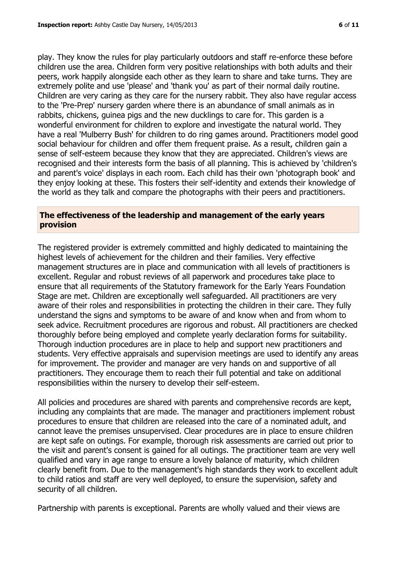play. They know the rules for play particularly outdoors and staff re-enforce these before children use the area. Children form very positive relationships with both adults and their peers, work happily alongside each other as they learn to share and take turns. They are extremely polite and use 'please' and 'thank you' as part of their normal daily routine. Children are very caring as they care for the nursery rabbit. They also have regular access to the 'Pre-Prep' nursery garden where there is an abundance of small animals as in rabbits, chickens, guinea pigs and the new ducklings to care for. This garden is a wonderful environment for children to explore and investigate the natural world. They have a real 'Mulberry Bush' for children to do ring games around. Practitioners model good social behaviour for children and offer them frequent praise. As a result, children gain a sense of self-esteem because they know that they are appreciated. Children's views are recognised and their interests form the basis of all planning. This is achieved by 'children's and parent's voice' displays in each room. Each child has their own 'photograph book' and they enjoy looking at these. This fosters their self-identity and extends their knowledge of the world as they talk and compare the photographs with their peers and practitioners.

# **The effectiveness of the leadership and management of the early years provision**

The registered provider is extremely committed and highly dedicated to maintaining the highest levels of achievement for the children and their families. Very effective management structures are in place and communication with all levels of practitioners is excellent. Regular and robust reviews of all paperwork and procedures take place to ensure that all requirements of the Statutory framework for the Early Years Foundation Stage are met. Children are exceptionally well safeguarded. All practitioners are very aware of their roles and responsibilities in protecting the children in their care. They fully understand the signs and symptoms to be aware of and know when and from whom to seek advice. Recruitment procedures are rigorous and robust. All practitioners are checked thoroughly before being employed and complete yearly declaration forms for suitability. Thorough induction procedures are in place to help and support new practitioners and students. Very effective appraisals and supervision meetings are used to identify any areas for improvement. The provider and manager are very hands on and supportive of all practitioners. They encourage them to reach their full potential and take on additional responsibilities within the nursery to develop their self-esteem.

All policies and procedures are shared with parents and comprehensive records are kept, including any complaints that are made. The manager and practitioners implement robust procedures to ensure that children are released into the care of a nominated adult, and cannot leave the premises unsupervised. Clear procedures are in place to ensure children are kept safe on outings. For example, thorough risk assessments are carried out prior to the visit and parent's consent is gained for all outings. The practitioner team are very well qualified and vary in age range to ensure a lovely balance of maturity, which children clearly benefit from. Due to the management's high standards they work to excellent adult to child ratios and staff are very well deployed, to ensure the supervision, safety and security of all children.

Partnership with parents is exceptional. Parents are wholly valued and their views are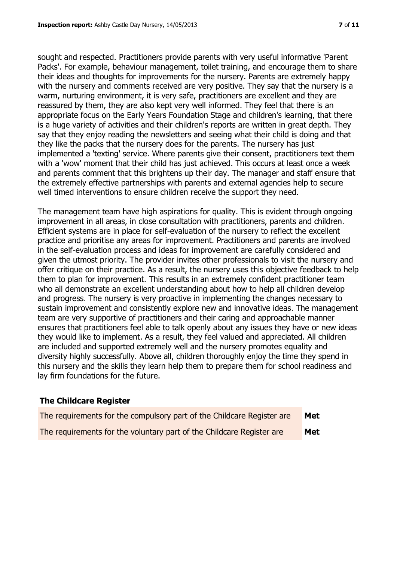sought and respected. Practitioners provide parents with very useful informative 'Parent Packs'. For example, behaviour management, toilet training, and encourage them to share their ideas and thoughts for improvements for the nursery. Parents are extremely happy with the nursery and comments received are very positive. They say that the nursery is a warm, nurturing environment, it is very safe, practitioners are excellent and they are reassured by them, they are also kept very well informed. They feel that there is an appropriate focus on the Early Years Foundation Stage and children's learning, that there is a huge variety of activities and their children's reports are written in great depth. They say that they enjoy reading the newsletters and seeing what their child is doing and that they like the packs that the nursery does for the parents. The nursery has just implemented a 'texting' service. Where parents give their consent, practitioners text them with a 'wow' moment that their child has just achieved. This occurs at least once a week and parents comment that this brightens up their day. The manager and staff ensure that the extremely effective partnerships with parents and external agencies help to secure well timed interventions to ensure children receive the support they need.

The management team have high aspirations for quality. This is evident through ongoing improvement in all areas, in close consultation with practitioners, parents and children. Efficient systems are in place for self-evaluation of the nursery to reflect the excellent practice and prioritise any areas for improvement. Practitioners and parents are involved in the self-evaluation process and ideas for improvement are carefully considered and given the utmost priority. The provider invites other professionals to visit the nursery and offer critique on their practice. As a result, the nursery uses this objective feedback to help them to plan for improvement. This results in an extremely confident practitioner team who all demonstrate an excellent understanding about how to help all children develop and progress. The nursery is very proactive in implementing the changes necessary to sustain improvement and consistently explore new and innovative ideas. The management team are very supportive of practitioners and their caring and approachable manner ensures that practitioners feel able to talk openly about any issues they have or new ideas they would like to implement. As a result, they feel valued and appreciated. All children are included and supported extremely well and the nursery promotes equality and diversity highly successfully. Above all, children thoroughly enjoy the time they spend in this nursery and the skills they learn help them to prepare them for school readiness and lay firm foundations for the future.

# **The Childcare Register**

| The requirements for the compulsory part of the Childcare Register are | Met |
|------------------------------------------------------------------------|-----|
| The requirements for the voluntary part of the Childcare Register are  | Met |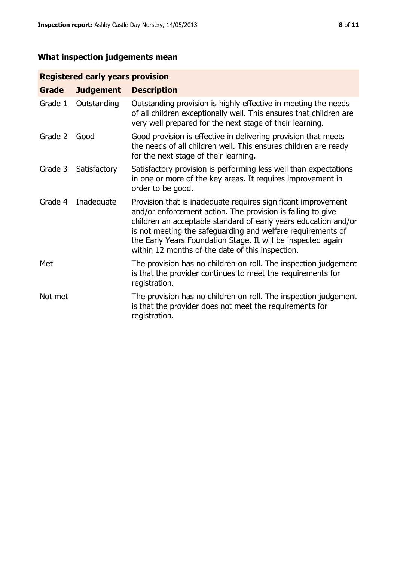# **What inspection judgements mean**

# **Registered early years provision**

| Grade   | <b>Judgement</b> | <b>Description</b>                                                                                                                                                                                                                                                                                                                                                                 |
|---------|------------------|------------------------------------------------------------------------------------------------------------------------------------------------------------------------------------------------------------------------------------------------------------------------------------------------------------------------------------------------------------------------------------|
| Grade 1 | Outstanding      | Outstanding provision is highly effective in meeting the needs<br>of all children exceptionally well. This ensures that children are<br>very well prepared for the next stage of their learning.                                                                                                                                                                                   |
| Grade 2 | Good             | Good provision is effective in delivering provision that meets<br>the needs of all children well. This ensures children are ready<br>for the next stage of their learning.                                                                                                                                                                                                         |
| Grade 3 | Satisfactory     | Satisfactory provision is performing less well than expectations<br>in one or more of the key areas. It requires improvement in<br>order to be good.                                                                                                                                                                                                                               |
| Grade 4 | Inadequate       | Provision that is inadequate requires significant improvement<br>and/or enforcement action. The provision is failing to give<br>children an acceptable standard of early years education and/or<br>is not meeting the safeguarding and welfare requirements of<br>the Early Years Foundation Stage. It will be inspected again<br>within 12 months of the date of this inspection. |
| Met     |                  | The provision has no children on roll. The inspection judgement<br>is that the provider continues to meet the requirements for<br>registration.                                                                                                                                                                                                                                    |
| Not met |                  | The provision has no children on roll. The inspection judgement<br>is that the provider does not meet the requirements for<br>registration.                                                                                                                                                                                                                                        |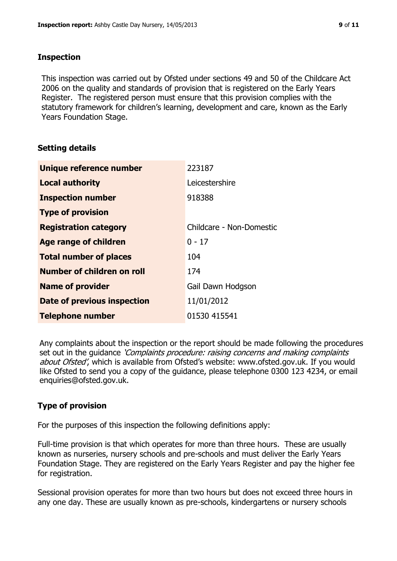# **Inspection**

This inspection was carried out by Ofsted under sections 49 and 50 of the Childcare Act 2006 on the quality and standards of provision that is registered on the Early Years Register. The registered person must ensure that this provision complies with the statutory framework for children's learning, development and care, known as the Early Years Foundation Stage.

# **Setting details**

| Unique reference number       | 223187                   |
|-------------------------------|--------------------------|
| <b>Local authority</b>        | Leicestershire           |
| <b>Inspection number</b>      | 918388                   |
| <b>Type of provision</b>      |                          |
| <b>Registration category</b>  | Childcare - Non-Domestic |
| <b>Age range of children</b>  | $0 - 17$                 |
| <b>Total number of places</b> | 104                      |
| Number of children on roll    | 174                      |
| <b>Name of provider</b>       | Gail Dawn Hodgson        |
| Date of previous inspection   | 11/01/2012               |
| <b>Telephone number</b>       | 01530 415541             |

Any complaints about the inspection or the report should be made following the procedures set out in the guidance *'Complaints procedure: raising concerns and making complaints* about Ofsted', which is available from Ofsted's website: www.ofsted.gov.uk. If you would like Ofsted to send you a copy of the guidance, please telephone 0300 123 4234, or email enquiries@ofsted.gov.uk.

# **Type of provision**

For the purposes of this inspection the following definitions apply:

Full-time provision is that which operates for more than three hours. These are usually known as nurseries, nursery schools and pre-schools and must deliver the Early Years Foundation Stage. They are registered on the Early Years Register and pay the higher fee for registration.

Sessional provision operates for more than two hours but does not exceed three hours in any one day. These are usually known as pre-schools, kindergartens or nursery schools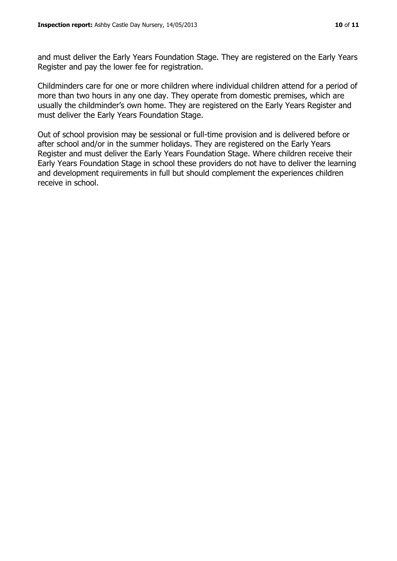and must deliver the Early Years Foundation Stage. They are registered on the Early Years Register and pay the lower fee for registration.

Childminders care for one or more children where individual children attend for a period of more than two hours in any one day. They operate from domestic premises, which are usually the childminder's own home. They are registered on the Early Years Register and must deliver the Early Years Foundation Stage.

Out of school provision may be sessional or full-time provision and is delivered before or after school and/or in the summer holidays. They are registered on the Early Years Register and must deliver the Early Years Foundation Stage. Where children receive their Early Years Foundation Stage in school these providers do not have to deliver the learning and development requirements in full but should complement the experiences children receive in school.